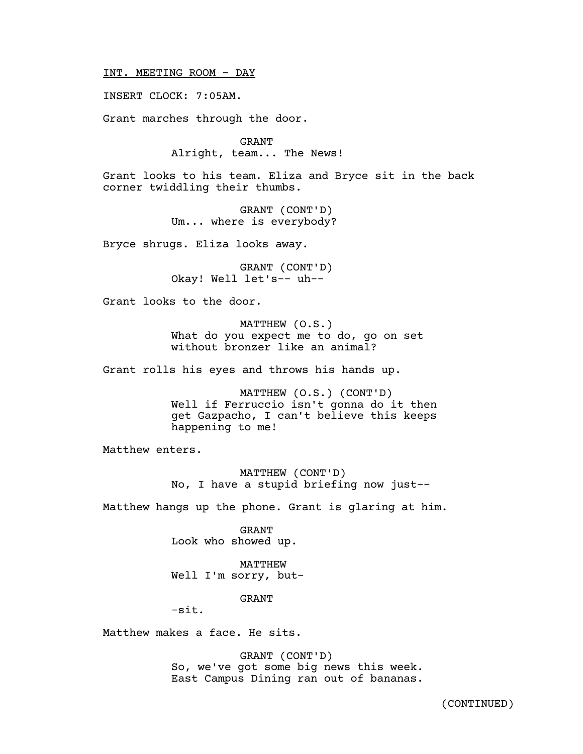INT. MEETING ROOM - DAY

INSERT CLOCK: 7:05AM.

Grant marches through the door.

GRANT Alright, team... The News!

Grant looks to his team. Eliza and Bryce sit in the back corner twiddling their thumbs.

> GRANT (CONT'D) Um... where is everybody?

Bryce shrugs. Eliza looks away.

GRANT (CONT'D) Okay! Well let's-- uh--

Grant looks to the door.

MATTHEW (O.S.) What do you expect me to do, go on set without bronzer like an animal?

Grant rolls his eyes and throws his hands up.

MATTHEW (O.S.) (CONT'D) Well if Ferruccio isn't gonna do it then get Gazpacho, I can't believe this keeps happening to me!

Matthew enters.

MATTHEW (CONT'D) No, I have a stupid briefing now just--

Matthew hangs up the phone. Grant is glaring at him.

GRANT Look who showed up.

MATTHEW Well I'm sorry, but-

GRANT

-sit.

Matthew makes a face. He sits.

GRANT (CONT'D) So, we've got some big news this week. East Campus Dining ran out of bananas.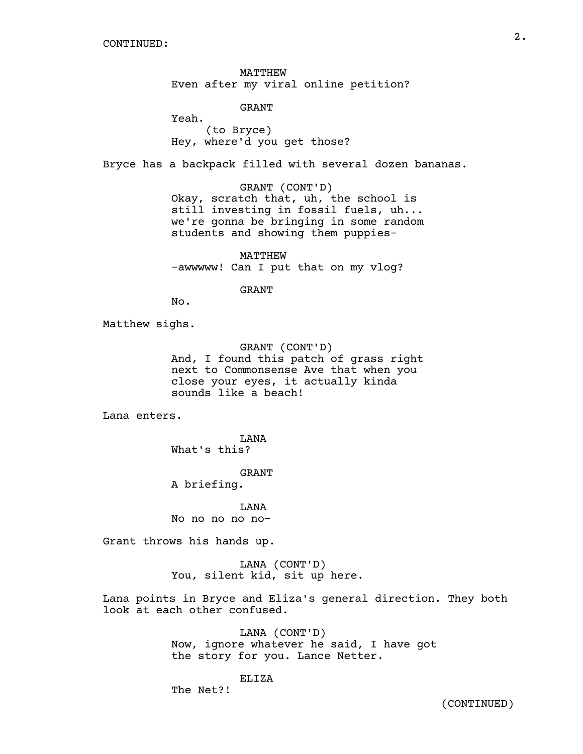MATTHEW Even after my viral online petition?

GRANT

Yeah. (to Bryce) Hey, where'd you get those?

Bryce has a backpack filled with several dozen bananas.

GRANT (CONT'D) Okay, scratch that, uh, the school is still investing in fossil fuels, uh... we're gonna be bringing in some random students and showing them puppies-

MATTHEW -awwwww! Can I put that on my vlog?

GRANT

No.

Matthew sighs.

GRANT (CONT'D) And, I found this patch of grass right next to Commonsense Ave that when you close your eyes, it actually kinda sounds like a beach!

Lana enters.

LANA What's this?

GRANT

A briefing.

LANA No no no no no-

Grant throws his hands up.

LANA (CONT'D) You, silent kid, sit up here.

Lana points in Bryce and Eliza's general direction. They both look at each other confused.

> LANA (CONT'D) Now, ignore whatever he said, I have got the story for you. Lance Netter.

> > ELIZA

The Net?!

(CONTINUED)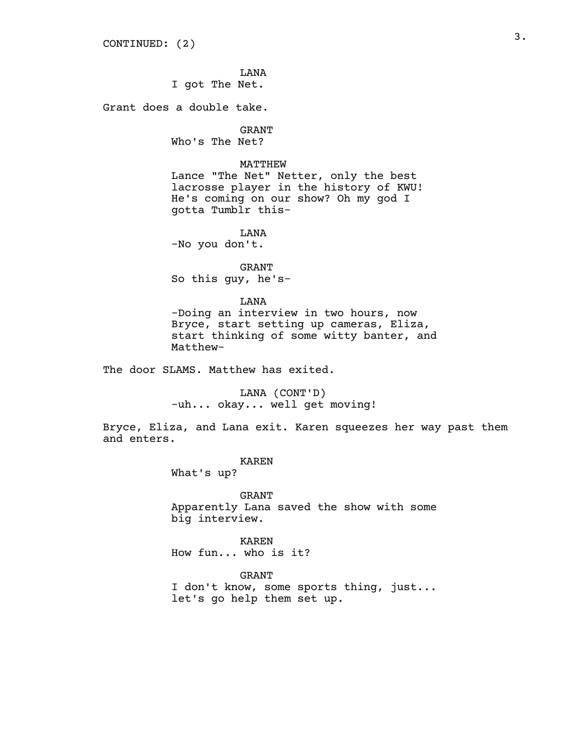LANA

I got The Net.

Grant does a double take.

GRANT

Who's The Net?

## MATTHEW

Lance "The Net" Netter, only the best lacrosse player in the history of KWU! He's coming on our show? Oh my god I gotta Tumblr this-

LANA

-No you don't.

GRANT So this guy, he's-

### LANA

-Doing an interview in two hours, now Bryce, start setting up cameras, Eliza, start thinking of some witty banter, and Matthew-

The door SLAMS. Matthew has exited.

LANA (CONT'D) -uh... okay... well get moving!

Bryce, Eliza, and Lana exit. Karen squeezes her way past them and enters.

#### KAREN

What's up?

GRANT Apparently Lana saved the show with some big interview.

KAREN How fun... who is it?

GRANT

I don't know, some sports thing, just... let's go help them set up.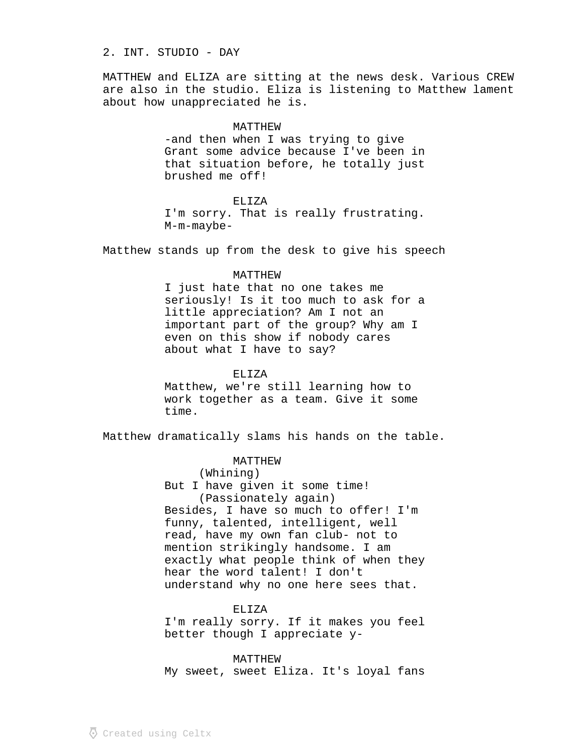## 2. INT. STUDIO - DAY

MATTHEW and ELIZA are sitting at the news desk. Various CREW are also in the studio. Eliza is listening to Matthew lament about how unappreciated he is.

#### MATTHEW

-and then when I was trying to give Grant some advice because I've been in that situation before, he totally just brushed me off!

### ELIZA

I'm sorry. That is really frustrating. M-m-maybe-

Matthew stands up from the desk to give his speech

#### MATTHEW

I just hate that no one takes me seriously! Is it too much to ask for a little appreciation? Am I not an important part of the group? Why am I even on this show if nobody cares about what I have to say?

### ELIZA

Matthew, we're still learning how to work together as a team. Give it some time.

Matthew dramatically slams his hands on the table.

## MATTHEW

(Whining) But I have given it some time! (Passionately again) Besides, I have so much to offer! I'm funny, talented, intelligent, well read, have my own fan club- not to mention strikingly handsome. I am exactly what people think of when they hear the word talent! I don't understand why no one here sees that.

#### ELIZA

I'm really sorry. If it makes you feel better though I appreciate y-

MATTHEW My sweet, sweet Eliza. It's loyal fans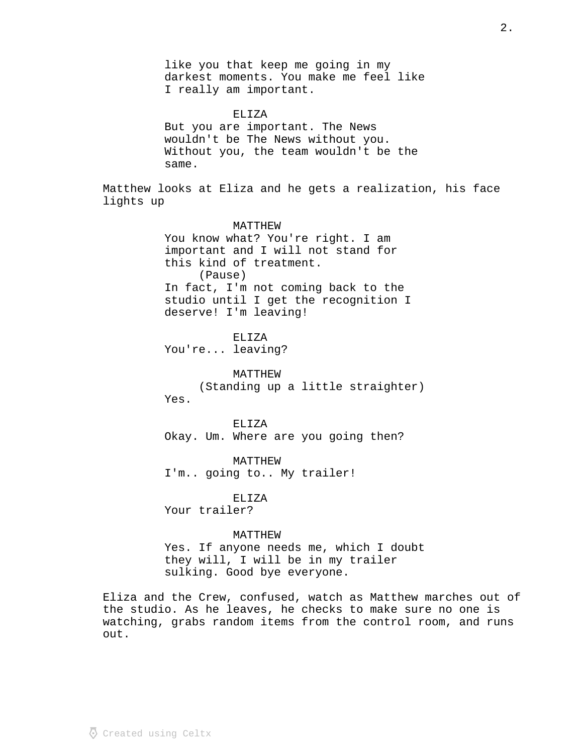like you that keep me going in my darkest moments. You make me feel like I really am important.

ELIZA But you are important. The News wouldn't be The News without you. Without you, the team wouldn't be the same.

Matthew looks at Eliza and he gets a realization, his face lights up

## MATTHEW

You know what? You're right. I am important and I will not stand for this kind of treatment. (Pause) In fact, I'm not coming back to the studio until I get the recognition I deserve! I'm leaving!

ELIZA

You're... leaving?

MATTHEW (Standing up a little straighter) Yes.

ELIZA Okay. Um. Where are you going then?

MATTHEW I'm.. going to.. My trailer!

ELIZA

Your trailer?

### MATTHEW

Yes. If anyone needs me, which I doubt they will, I will be in my trailer sulking. Good bye everyone.

Eliza and the Crew, confused, watch as Matthew marches out of the studio. As he leaves, he checks to make sure no one is watching, grabs random items from the control room, and runs out.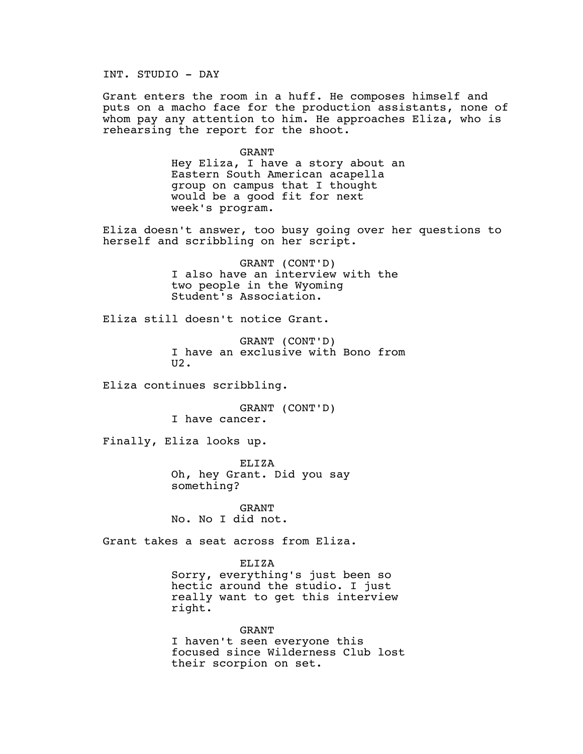INT. STUDIO - DAY

Grant enters the room in a huff. He composes himself and puts on a macho face for the production assistants, none of whom pay any attention to him. He approaches Eliza, who is rehearsing the report for the shoot.

> GRANT Hey Eliza, I have a story about an Eastern South American acapella group on campus that I thought would be a good fit for next week's program.

Eliza doesn't answer, too busy going over her questions to herself and scribbling on her script.

> GRANT (CONT'D) I also have an interview with the two people in the Wyoming Student's Association.

Eliza still doesn't notice Grant.

GRANT (CONT'D) I have an exclusive with Bono from U2.

Eliza continues scribbling.

GRANT (CONT'D) I have cancer.

Finally, Eliza looks up.

ELIZA Oh, hey Grant. Did you say something?

GRANT No. No I did not.

Grant takes a seat across from Eliza.

ELIZA

Sorry, everything's just been so hectic around the studio. I just really want to get this interview right.

GRANT I haven't seen everyone this focused since Wilderness Club lost their scorpion on set.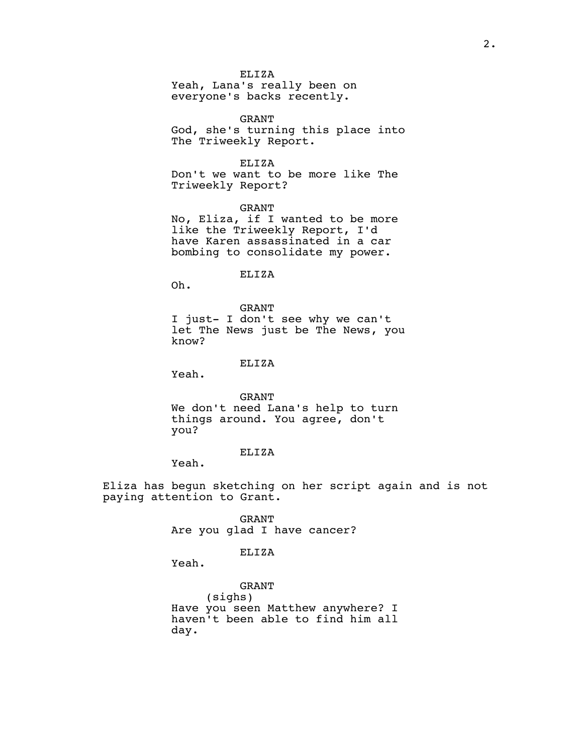ELIZA

Yeah, Lana's really been on everyone's backs recently.

GRANT God, she's turning this place into The Triweekly Report.

ELIZA Don't we want to be more like The Triweekly Report?

GRANT No, Eliza, if I wanted to be more like the Triweekly Report, I'd have Karen assassinated in a car bombing to consolidate my power.

ELIZA

Oh.

GRANT I just- I don't see why we can't let The News just be The News, you know?

ELIZA

Yeah.

GRANT We don't need Lana's help to turn things around. You agree, don't you?

ELIZA

Yeah.

Eliza has begun sketching on her script again and is not paying attention to Grant.

> GRANT Are you glad I have cancer?

#### ELIZA

Yeah.

GRANT (sighs) Have you seen Matthew anywhere? I haven't been able to find him all day.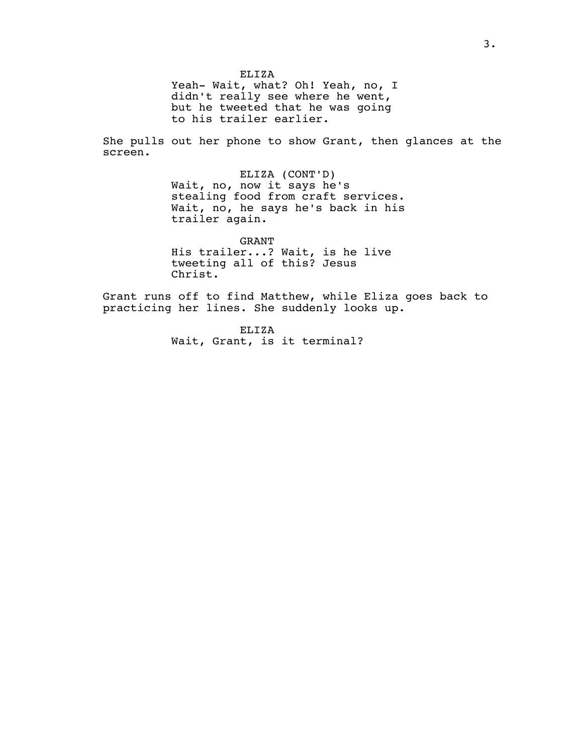ELIZA Yeah- Wait, what? Oh! Yeah, no, I didn't really see where he went, but he tweeted that he was going to his trailer earlier.

She pulls out her phone to show Grant, then glances at the screen.

> ELIZA (CONT'D) Wait, no, now it says he's stealing food from craft services. Wait, no, he says he's back in his trailer again.

GRANT His trailer...? Wait, is he live tweeting all of this? Jesus Christ.

Grant runs off to find Matthew, while Eliza goes back to practicing her lines. She suddenly looks up.

> ELIZA Wait, Grant, is it terminal?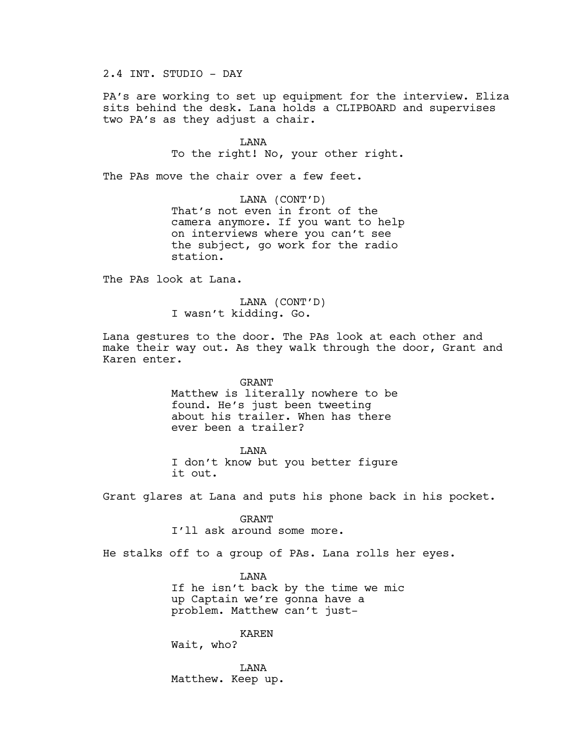2.4 INT. STUDIO - DAY

PA's are working to set up equipment for the interview. Eliza sits behind the desk. Lana holds a CLIPBOARD and supervises two PA's as they adjust a chair.

> LANA To the right! No, your other right.

The PAs move the chair over a few feet.

LANA (CONT'D) That's not even in front of the camera anymore. If you want to help on interviews where you can't see the subject, go work for the radio station.

The PAs look at Lana.

LANA (CONT'D) I wasn't kidding. Go.

Lana gestures to the door. The PAs look at each other and make their way out. As they walk through the door, Grant and Karen enter.

> GRANT Matthew is literally nowhere to be found. He's just been tweeting about his trailer. When has there ever been a trailer?

**T.ANA** I don't know but you better figure

it out.

Grant glares at Lana and puts his phone back in his pocket.

GRANT I'll ask around some more.

He stalks off to a group of PAs. Lana rolls her eyes.

LANA If he isn't back by the time we mic up Captain we're gonna have a problem. Matthew can't just-

KAREN Wait, who?

LANA Matthew. Keep up.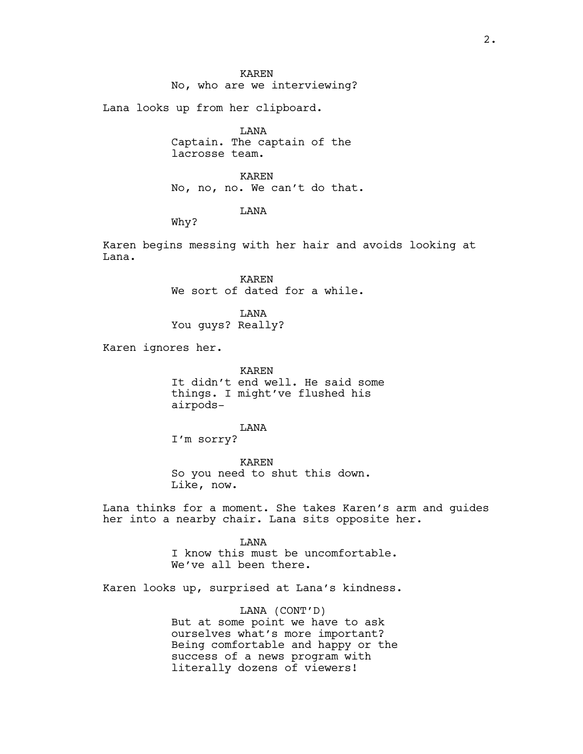No, who are we interviewing?

Lana looks up from her clipboard.

LANA Captain. The captain of the lacrosse team.

KAREN No, no, no. We can't do that.

## LANA

Why?

Karen begins messing with her hair and avoids looking at Lana.

> KAREN We sort of dated for a while.

LANA You guys? Really?

Karen ignores her.

KAREN It didn't end well. He said some things. I might've flushed his airpods-

LANA

I'm sorry?

KAREN So you need to shut this down. Like, now.

Lana thinks for a moment. She takes Karen's arm and guides her into a nearby chair. Lana sits opposite her.

> LANA I know this must be uncomfortable. We've all been there.

Karen looks up, surprised at Lana's kindness.

LANA (CONT'D) But at some point we have to ask ourselves what's more important? Being comfortable and happy or the success of a news program with literally dozens of viewers!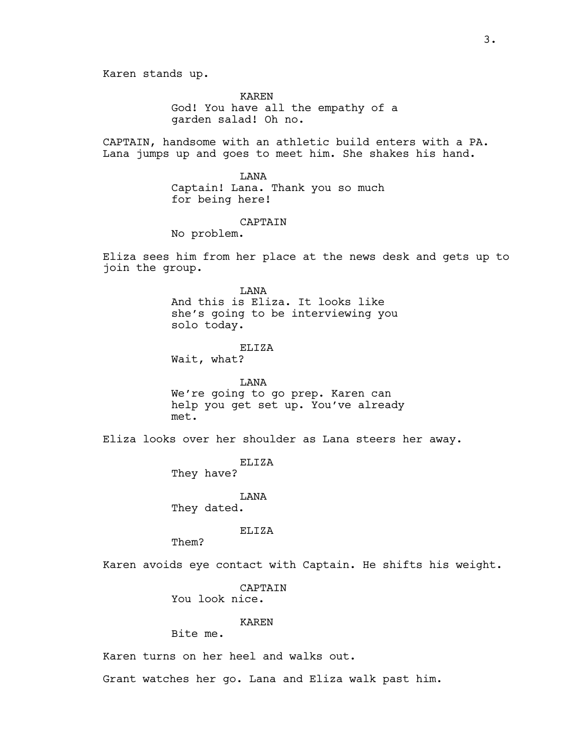Karen stands up.

KAREN God! You have all the empathy of a garden salad! Oh no.

CAPTAIN, handsome with an athletic build enters with a PA. Lana jumps up and goes to meet him. She shakes his hand.

> LANA Captain! Lana. Thank you so much for being here!

## CAPTAIN

No problem.

Eliza sees him from her place at the news desk and gets up to join the group.

> LANA And this is Eliza. It looks like she's going to be interviewing you solo today.

ELIZA Wait, what?

LANA We're going to go prep. Karen can help you get set up. You've already met.

Eliza looks over her shoulder as Lana steers her away.

ELIZA They have?

LANA They dated.

ELIZA

Them?

Karen avoids eye contact with Captain. He shifts his weight.

CAPTAIN You look nice.

KAREN

Bite me.

Karen turns on her heel and walks out.

Grant watches her go. Lana and Eliza walk past him.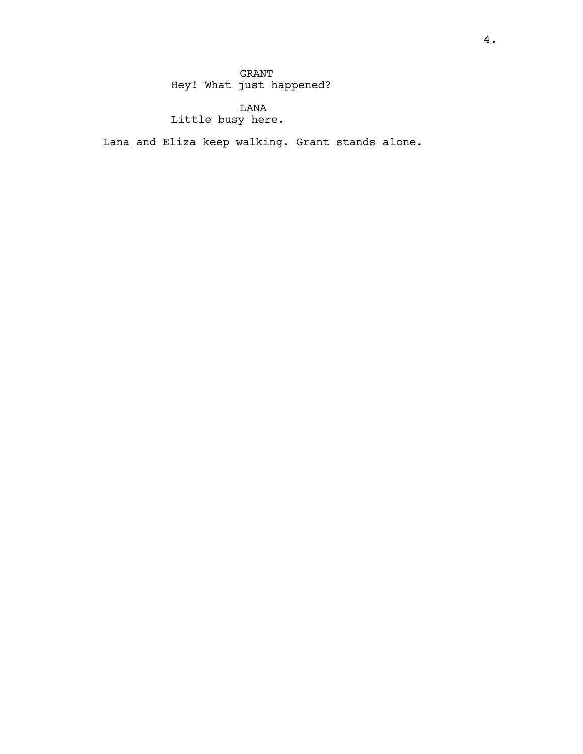GRANT Hey! What just happened?

LANA Little busy here.

Lana and Eliza keep walking. Grant stands alone.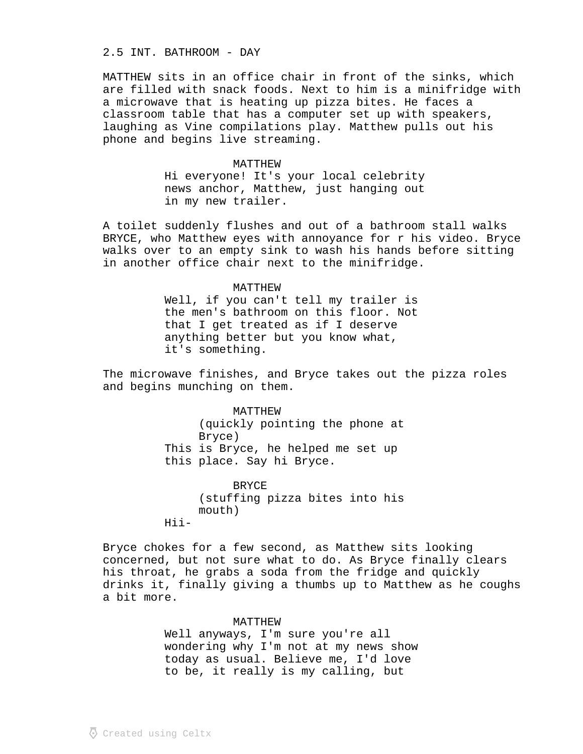## 2.5 INT. BATHROOM - DAY

MATTHEW sits in an office chair in front of the sinks, which are filled with snack foods. Next to him is a minifridge with a microwave that is heating up pizza bites. He faces a classroom table that has a computer set up with speakers, laughing as Vine compilations play. Matthew pulls out his phone and begins live streaming.

# MATTHEW Hi everyone! It's your local celebrity news anchor, Matthew, just hanging out in my new trailer.

A toilet suddenly flushes and out of a bathroom stall walks BRYCE, who Matthew eyes with annoyance for r his video. Bryce walks over to an empty sink to wash his hands before sitting in another office chair next to the minifridge.

### MATTHEW

Well, if you can't tell my trailer is the men's bathroom on this floor. Not that I get treated as if I deserve anything better but you know what, it's something.

The microwave finishes, and Bryce takes out the pizza roles and begins munching on them.

> MATTHEW (quickly pointing the phone at Bryce) This is Bryce, he helped me set up this place. Say hi Bryce.

> BRYCE (stuffing pizza bites into his mouth) Hii-

Bryce chokes for a few second, as Matthew sits looking concerned, but not sure what to do. As Bryce finally clears his throat, he grabs a soda from the fridge and quickly drinks it, finally giving a thumbs up to Matthew as he coughs a bit more.

## MATTHEW

Well anyways, I'm sure you're all wondering why I'm not at my news show today as usual. Believe me, I'd love to be, it really is my calling, but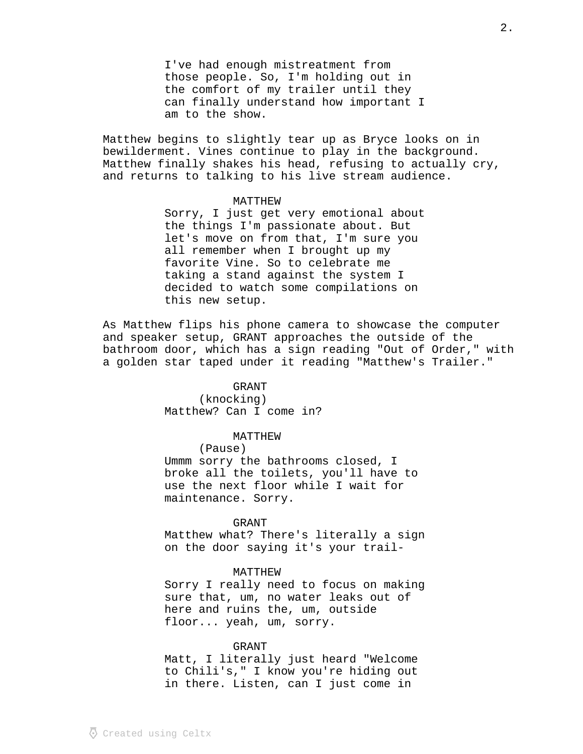I've had enough mistreatment from those people. So, I'm holding out in the comfort of my trailer until they can finally understand how important I am to the show.

Matthew begins to slightly tear up as Bryce looks on in bewilderment. Vines continue to play in the background. Matthew finally shakes his head, refusing to actually cry, and returns to talking to his live stream audience.

#### MATTHEW

Sorry, I just get very emotional about the things I'm passionate about. But let's move on from that, I'm sure you all remember when I brought up my favorite Vine. So to celebrate me taking a stand against the system I decided to watch some compilations on this new setup.

As Matthew flips his phone camera to showcase the computer and speaker setup, GRANT approaches the outside of the bathroom door, which has a sign reading "Out of Order," with a golden star taped under it reading "Matthew's Trailer."

### GRANT

(knocking) Matthew? Can I come in?

### MATTHEW

(Pause)

Ummm sorry the bathrooms closed, I broke all the toilets, you'll have to use the next floor while I wait for maintenance. Sorry.

## GRANT

Matthew what? There's literally a sign on the door saying it's your trail-

## MATTHEW

Sorry I really need to focus on making sure that, um, no water leaks out of here and ruins the, um, outside floor... yeah, um, sorry.

#### GRANT

Matt, I literally just heard "Welcome to Chili's," I know you're hiding out in there. Listen, can I just come in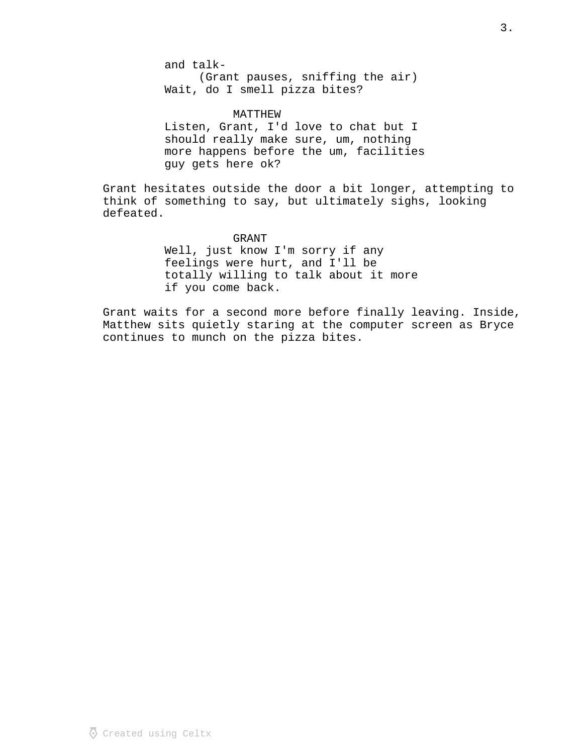and talk- (Grant pauses, sniffing the air) Wait, do I smell pizza bites?

MATTHEW Listen, Grant, I'd love to chat but I should really make sure, um, nothing more happens before the um, facilities guy gets here ok?

Grant hesitates outside the door a bit longer, attempting to think of something to say, but ultimately sighs, looking defeated.

> GRANT Well, just know I'm sorry if any feelings were hurt, and I'll be totally willing to talk about it more if you come back.

Grant waits for a second more before finally leaving. Inside, Matthew sits quietly staring at the computer screen as Bryce continues to munch on the pizza bites.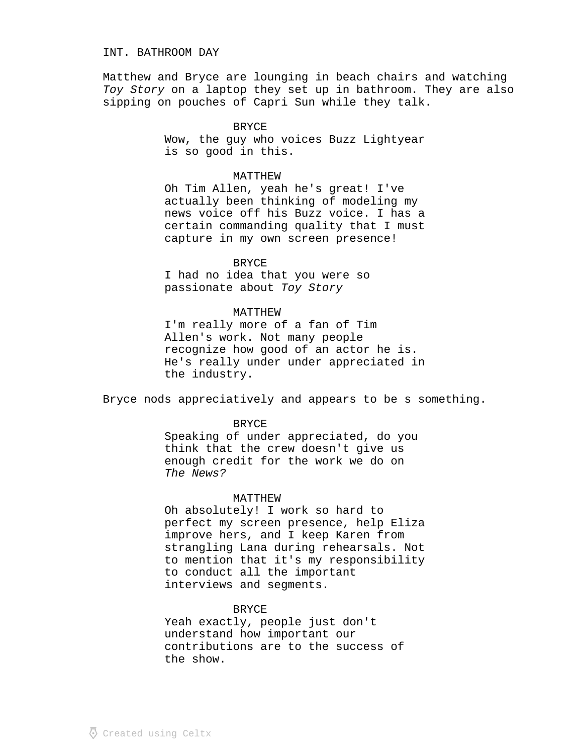## INT. BATHROOM DAY

Matthew and Bryce are lounging in beach chairs and watching Toy Story on a laptop they set up in bathroom. They are also sipping on pouches of Capri Sun while they talk.

> BRYCE Wow, the guy who voices Buzz Lightyear is so good in this.

#### MATTHEW

Oh Tim Allen, yeah he's great! I've actually been thinking of modeling my news voice off his Buzz voice. I has a certain commanding quality that I must capture in my own screen presence!

### BRYCE

I had no idea that you were so passionate about Toy Story

## MATTHEW

I'm really more of a fan of Tim Allen's work. Not many people recognize how good of an actor he is. He's really under under appreciated in the industry.

Bryce nods appreciatively and appears to be s something.

## BRYCE

Speaking of under appreciated, do you think that the crew doesn't give us enough credit for the work we do on The News?

## MATTHEW

Oh absolutely! I work so hard to perfect my screen presence, help Eliza improve hers, and I keep Karen from strangling Lana during rehearsals. Not to mention that it's my responsibility to conduct all the important interviews and segments.

#### BRYCE

Yeah exactly, people just don't understand how important our contributions are to the success of the show.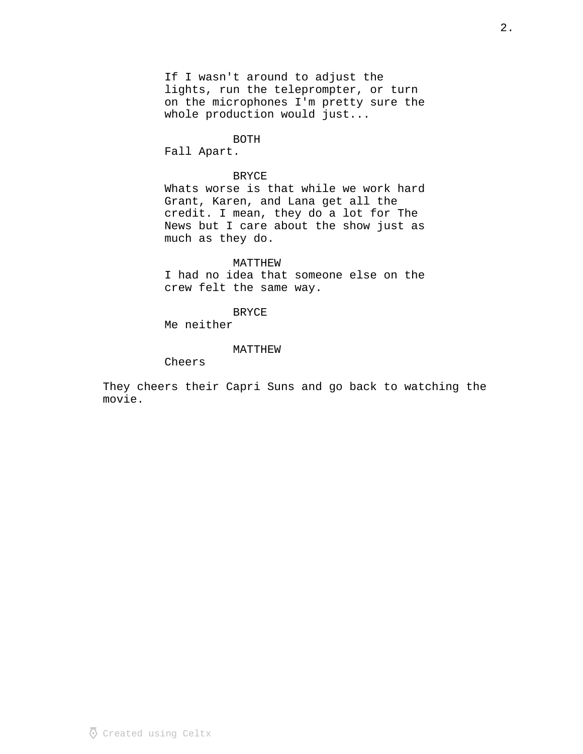If I wasn't around to adjust the lights, run the teleprompter, or turn on the microphones I'm pretty sure the whole production would just...

#### BOTH

Fall Apart.

### BRYCE

Whats worse is that while we work hard Grant, Karen, and Lana get all the credit. I mean, they do a lot for The News but I care about the show just as much as they do.

### MATTHEW

I had no idea that someone else on the crew felt the same way.

#### BRYCE

Me neither

### MATTHEW

Cheers

They cheers their Capri Suns and go back to watching the movie.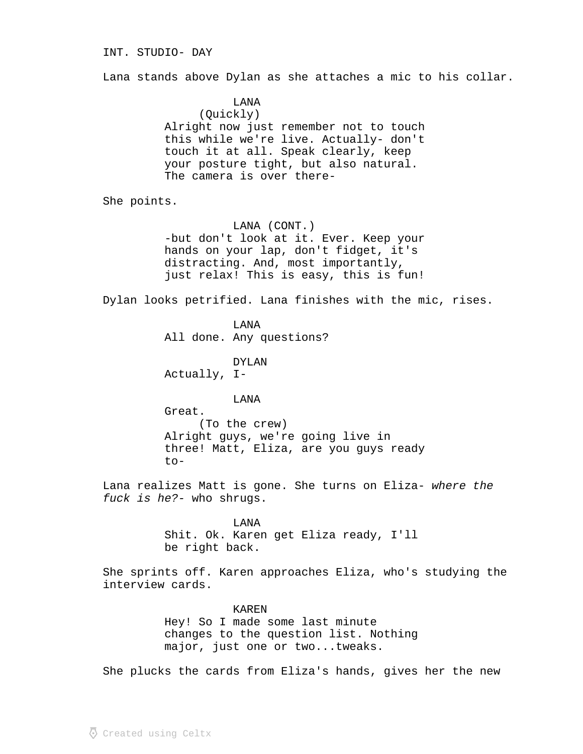## INT. STUDIO- DAY

Lana stands above Dylan as she attaches a mic to his collar.

LANA (Quickly) Alright now just remember not to touch this while we're live. Actually- don't touch it at all. Speak clearly, keep your posture tight, but also natural. The camera is over there-

She points.

LANA (CONT.) -but don't look at it. Ever. Keep your hands on your lap, don't fidget, it's distracting. And, most importantly, just relax! This is easy, this is fun!

Dylan looks petrified. Lana finishes with the mic, rises.

LANA All done. Any questions?

DYLAN Actually, I-

LANA

Great. (To the crew) Alright guys, we're going live in three! Matt, Eliza, are you guys ready to-

Lana realizes Matt is gone. She turns on Eliza- where the fuck is  $he?$ - who shrugs.

> LANA Shit. Ok. Karen get Eliza ready, I'll be right back.

She sprints off. Karen approaches Eliza, who's studying the interview cards.

> KAREN Hey! So I made some last minute changes to the question list. Nothing major, just one or two...tweaks.

She plucks the cards from Eliza's hands, gives her the new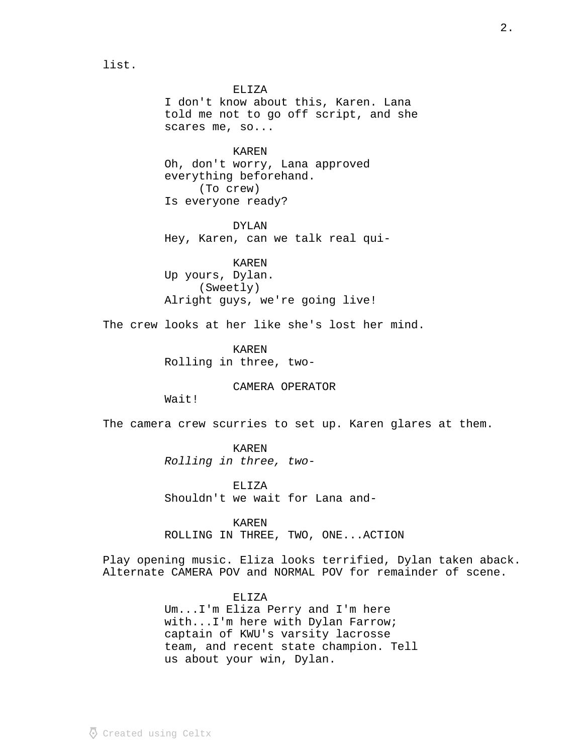ELIZA I don't know about this, Karen. Lana told me not to go off script, and she scares me, so...

KAREN Oh, don't worry, Lana approved everything beforehand. (To crew) Is everyone ready?

DYLAN Hey, Karen, can we talk real qui-

KAREN Up yours, Dylan. (Sweetly) Alright guys, we're going live!

The crew looks at her like she's lost her mind.

KAREN Rolling in three, two-

### CAMERA OPERATOR

Wait!

list.

The camera crew scurries to set up. Karen glares at them.

KAREN Rolling in three, two-

ELIZA Shouldn't we wait for Lana and-

KAREN ROLLING IN THREE, TWO, ONE...ACTION

Play opening music. Eliza looks terrified, Dylan taken aback. Alternate CAMERA POV and NORMAL POV for remainder of scene.

## ELIZA

Um...I'm Eliza Perry and I'm here with...I'm here with Dylan Farrow; captain of KWU's varsity lacrosse team, and recent state champion. Tell us about your win, Dylan.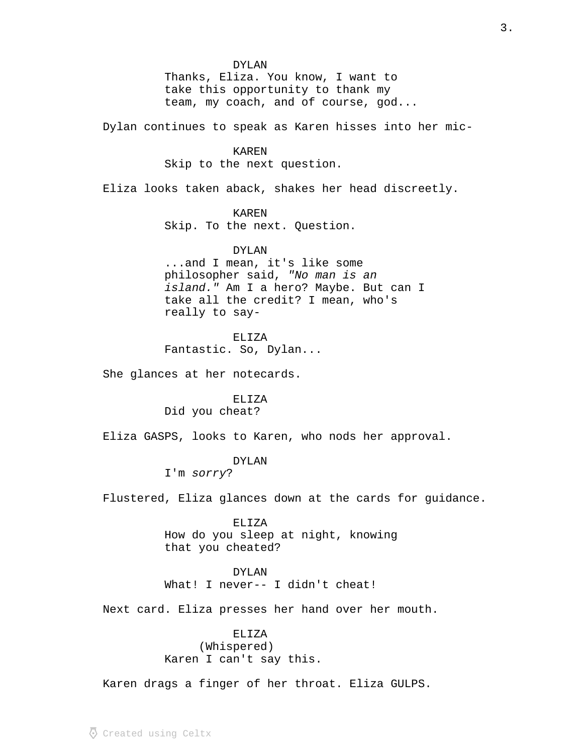DYLAN Thanks, Eliza. You know, I want to take this opportunity to thank my team, my coach, and of course, god...

Dylan continues to speak as Karen hisses into her mic-

### KAREN

Skip to the next question.

Eliza looks taken aback, shakes her head discreetly.

### KAREN

Skip. To the next. Question.

### DYLAN

...and I mean, it's like some philosopher said, "No man is an island." Am I a hero? Maybe. But can I take all the credit? I mean, who's really to say-

## ELIZA

Fantastic. So, Dylan...

She glances at her notecards.

# ELIZA

Did you cheat?

Eliza GASPS, looks to Karen, who nods her approval.

## DYLAN

I'm sorry?

Flustered, Eliza glances down at the cards for guidance.

ELIZA How do you sleep at night, knowing that you cheated?

#### DYLAN

What! I never-- I didn't cheat!

Next card. Eliza presses her hand over her mouth.

# ELIZA (Whispered) Karen I can't say this.

Karen drags a finger of her throat. Eliza GULPS.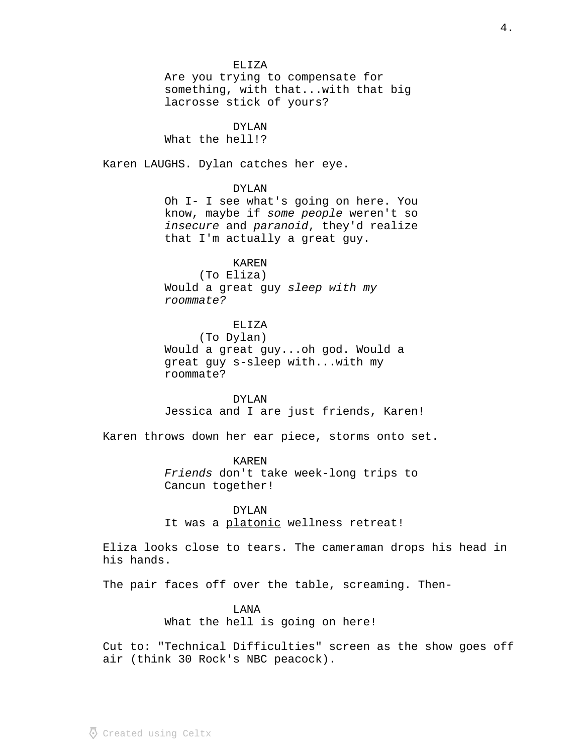ELIZA Are you trying to compensate for something, with that...with that big lacrosse stick of yours? DYLAN What the hell!? Karen LAUGHS. Dylan catches her eye. DYLAN Oh I- I see what's going on here. You know, maybe if some people weren't so insecure and paranoid, they'd realize that I'm actually a great guy. KAREN (To Eliza) Would a great guy sleep with my roommate? ELIZA (To Dylan) Would a great guy...oh god. Would a great guy s-sleep with...with my roommate? DYLAN Jessica and I are just friends, Karen! Karen throws down her ear piece, storms onto set. KAREN Friends don't take week-long trips to Cancun together! DYLAN It was a platonic wellness retreat! Eliza looks close to tears. The cameraman drops his head in his hands. The pair faces off over the table, screaming. Then-LANA

What the hell is going on here!

Cut to: "Technical Difficulties" screen as the show goes off air (think 30 Rock's NBC peacock).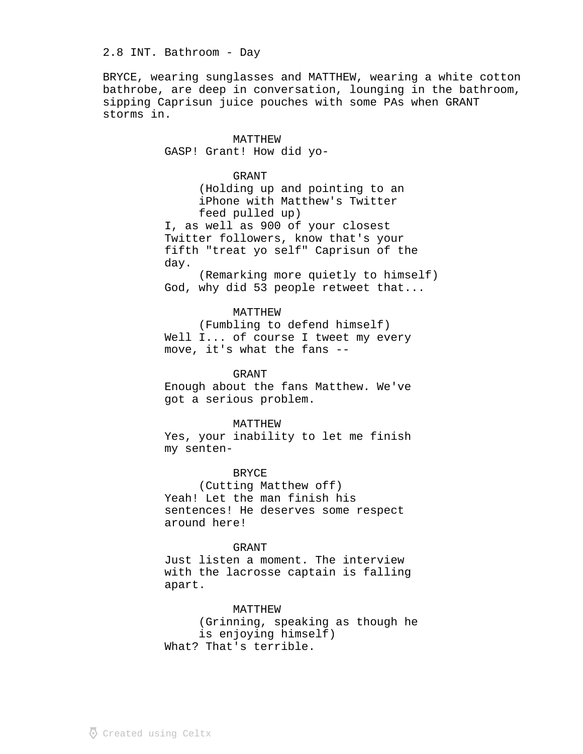## 2.8 INT. Bathroom - Day

BRYCE, wearing sunglasses and MATTHEW, wearing a white cotton bathrobe, are deep in conversation, lounging in the bathroom, sipping Caprisun juice pouches with some PAs when GRANT storms in.

> MATTHEW GASP! Grant! How did yo-

> > GRANT

(Holding up and pointing to an iPhone with Matthew's Twitter feed pulled up)

I, as well as 900 of your closest Twitter followers, know that's your fifth "treat yo self" Caprisun of the day.

(Remarking more quietly to himself) God, why did 53 people retweet that...

## MATTHEW

(Fumbling to defend himself) Well I... of course I tweet my every move, it's what the fans --

GRANT

Enough about the fans Matthew. We've got a serious problem.

#### MATTHEW

Yes, your inability to let me finish my senten-

### **BRYCE**

(Cutting Matthew off) Yeah! Let the man finish his sentences! He deserves some respect around here!

#### GRANT

Just listen a moment. The interview with the lacrosse captain is falling apart.

#### MATTHEW

(Grinning, speaking as though he is enjoying himself) What? That's terrible.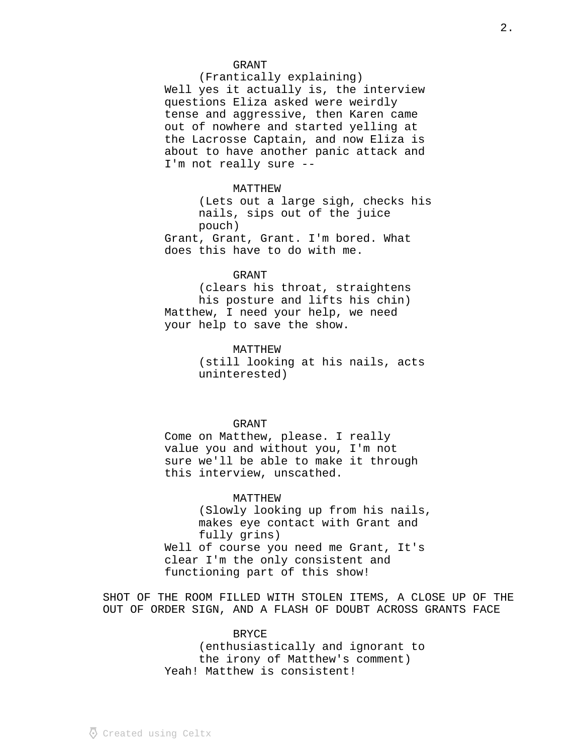#### GRANT

(Frantically explaining) Well yes it actually is, the interview questions Eliza asked were weirdly tense and aggressive, then Karen came out of nowhere and started yelling at the Lacrosse Captain, and now Eliza is about to have another panic attack and I'm not really sure --

#### MATTHEW

(Lets out a large sigh, checks his nails, sips out of the juice pouch) Grant, Grant, Grant. I'm bored. What

does this have to do with me.

## GRANT

(clears his throat, straightens his posture and lifts his chin) Matthew, I need your help, we need your help to save the show.

> MATTHEW (still looking at his nails, acts uninterested)

## GRANT

Come on Matthew, please. I really value you and without you, I'm not sure we'll be able to make it through this interview, unscathed.

### MATTHEW

(Slowly looking up from his nails, makes eye contact with Grant and fully grins) Well of course you need me Grant, It's clear I'm the only consistent and functioning part of this show!

SHOT OF THE ROOM FILLED WITH STOLEN ITEMS, A CLOSE UP OF THE OUT OF ORDER SIGN, AND A FLASH OF DOUBT ACROSS GRANTS FACE

## BRYCE

(enthusiastically and ignorant to the irony of Matthew's comment) Yeah! Matthew is consistent!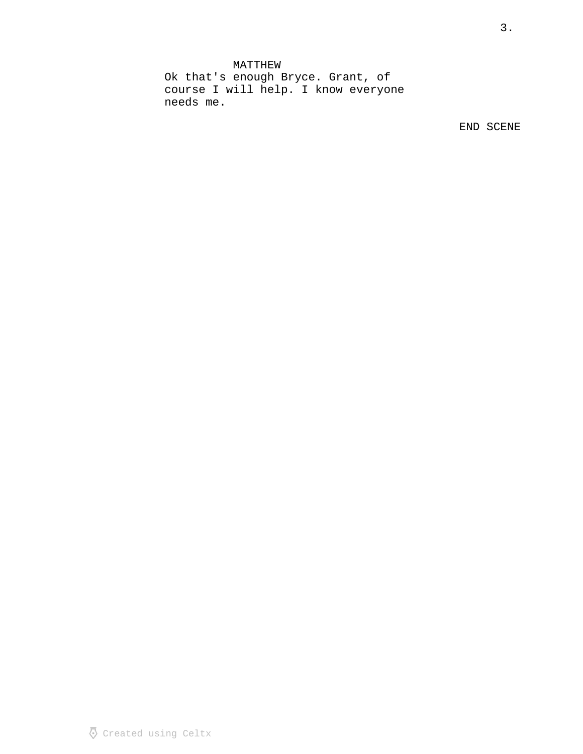MATTHEW Ok that's enough Bryce. Grant, of course I will help. I know everyone needs me.

END SCENE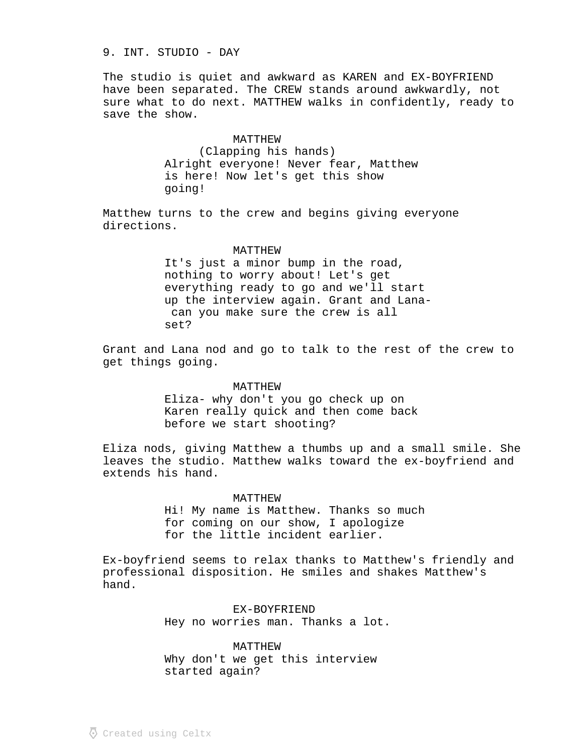# 9. INT. STUDIO - DAY

The studio is quiet and awkward as KAREN and EX-BOYFRIEND have been separated. The CREW stands around awkwardly, not sure what to do next. MATTHEW walks in confidently, ready to save the show.

#### MATTHEW

(Clapping his hands) Alright everyone! Never fear, Matthew is here! Now let's get this show going!

Matthew turns to the crew and begins giving everyone directions.

#### MATTHEW

It's just a minor bump in the road, nothing to worry about! Let's get everything ready to go and we'll start up the interview again. Grant and Lana can you make sure the crew is all set?

Grant and Lana nod and go to talk to the rest of the crew to get things going.

#### MATTHEW

Eliza- why don't you go check up on Karen really quick and then come back before we start shooting?

Eliza nods, giving Matthew a thumbs up and a small smile. She leaves the studio. Matthew walks toward the ex-boyfriend and extends his hand.

### MATTHEW

Hi! My name is Matthew. Thanks so much for coming on our show, I apologize for the little incident earlier.

Ex-boyfriend seems to relax thanks to Matthew's friendly and professional disposition. He smiles and shakes Matthew's hand.

> EX-BOYFRIEND Hey no worries man. Thanks a lot.

MATTHEW Why don't we get this interview started again?